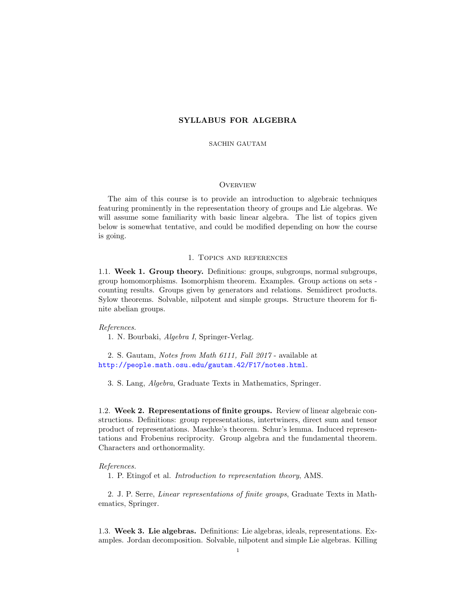# SYLLABUS FOR ALGEBRA

### SACHIN GAUTAM

## **OVERVIEW**

The aim of this course is to provide an introduction to algebraic techniques featuring prominently in the representation theory of groups and Lie algebras. We will assume some familiarity with basic linear algebra. The list of topics given below is somewhat tentative, and could be modified depending on how the course is going.

#### 1. Topics and references

1.1. Week 1. Group theory. Definitions: groups, subgroups, normal subgroups, group homomorphisms. Isomorphism theorem. Examples. Group actions on sets counting results. Groups given by generators and relations. Semidirect products. Sylow theorems. Solvable, nilpotent and simple groups. Structure theorem for finite abelian groups.

#### References.

1. N. Bourbaki, Algebra I, Springer-Verlag.

2. S. Gautam, Notes from Math 6111, Fall 2017 - available at <http://people.math.osu.edu/gautam.42/F17/notes.html>.

3. S. Lang, Algebra, Graduate Texts in Mathematics, Springer.

1.2. Week 2. Representations of finite groups. Review of linear algebraic constructions. Definitions: group representations, intertwiners, direct sum and tensor product of representations. Maschke's theorem. Schur's lemma. Induced representations and Frobenius reciprocity. Group algebra and the fundamental theorem. Characters and orthonormality.

## References.

1. P. Etingof et al. Introduction to representation theory, AMS.

2. J. P. Serre, Linear representations of finite groups, Graduate Texts in Mathematics, Springer.

1.3. Week 3. Lie algebras. Definitions: Lie algebras, ideals, representations. Examples. Jordan decomposition. Solvable, nilpotent and simple Lie algebras. Killing